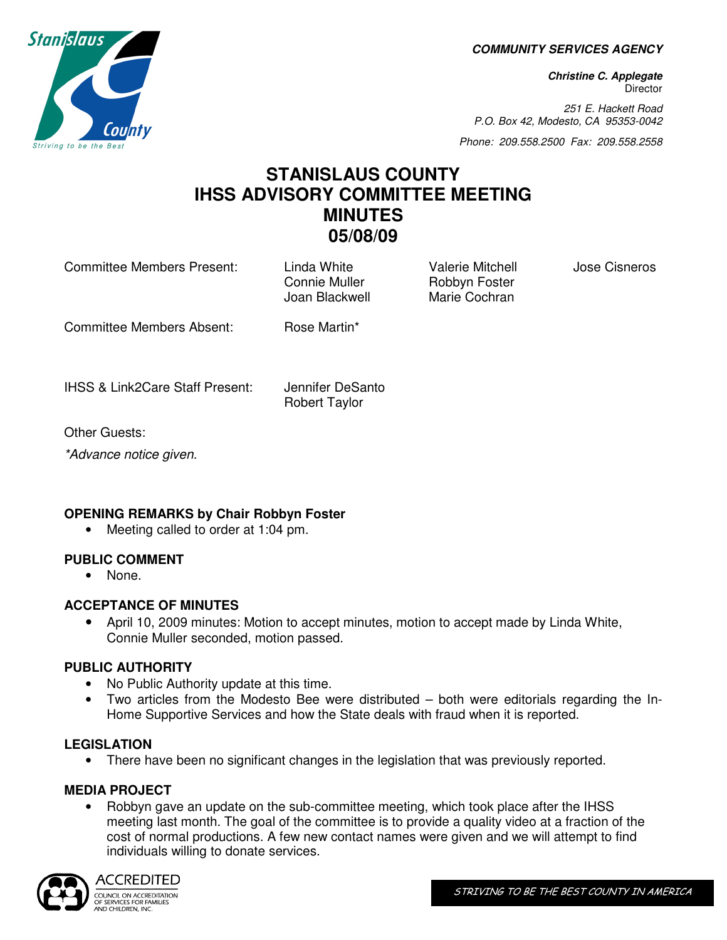**COMMUNITY SERVICES AGENCY** 

**Christine C. Applegate Director** 

251 E. Hackett Road P.O. Box 42, Modesto, CA 95353-0042

Phone: 209.558.2500 Fax: 209.558.2558

# **STANISLAUS COUNTY IHSS ADVISORY COMMITTEE MEETING MINUTES 05/08/09**

Committee Members Present: Linda White Valerie Mitchell Jose Cisneros

Connie Muller **Robbyn Foster** Joan Blackwell Marie Cochran

Committee Members Absent: Rose Martin\*

IHSS & Link2Care Staff Present: Jennifer DeSanto

Robert Taylor

Other Guests:

\*Advance notice given.

# **OPENING REMARKS by Chair Robbyn Foster**

• Meeting called to order at 1:04 pm.

# **PUBLIC COMMENT**

• None.

# **ACCEPTANCE OF MINUTES**

• April 10, 2009 minutes: Motion to accept minutes, motion to accept made by Linda White, Connie Muller seconded, motion passed.

#### **PUBLIC AUTHORITY**

- No Public Authority update at this time.
- Two articles from the Modesto Bee were distributed both were editorials regarding the In-Home Supportive Services and how the State deals with fraud when it is reported.

#### **LEGISLATION**

• There have been no significant changes in the legislation that was previously reported.

# **MEDIA PROJECT**

• Robbyn gave an update on the sub-committee meeting, which took place after the IHSS meeting last month. The goal of the committee is to provide a quality video at a fraction of the cost of normal productions. A few new contact names were given and we will attempt to find individuals willing to donate services.